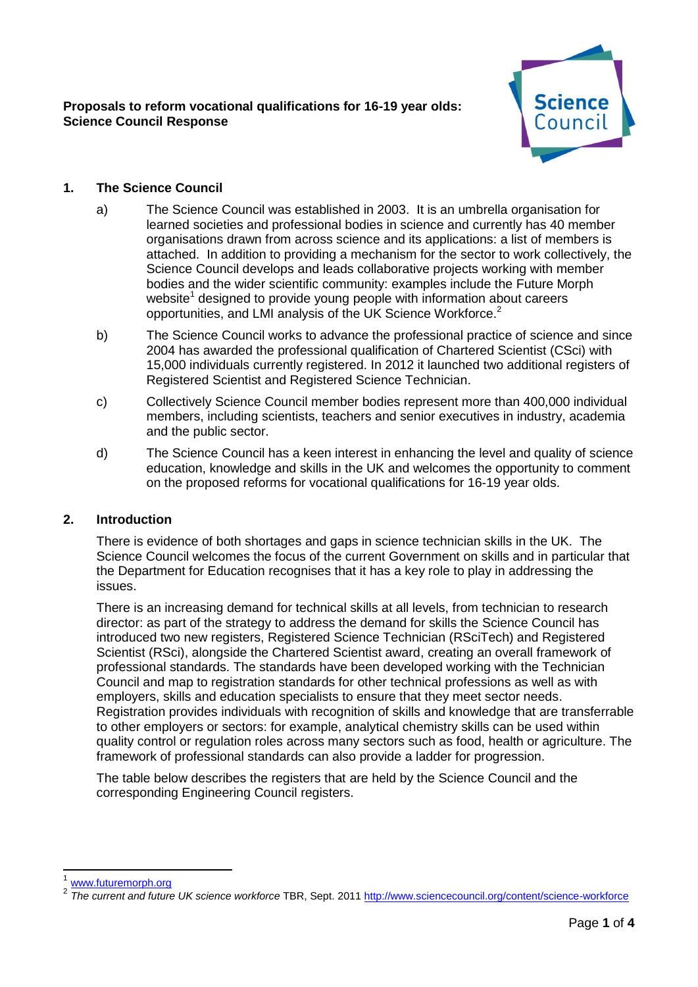

# **1. The Science Council**

- a) The Science Council was established in 2003. It is an umbrella organisation for learned societies and professional bodies in science and currently has 40 member organisations drawn from across science and its applications: a list of members is attached. In addition to providing a mechanism for the sector to work collectively, the Science Council develops and leads collaborative projects working with member bodies and the wider scientific community: examples include the Future Morph website<sup>1</sup> designed to provide young people with information about careers opportunities, and LMI analysis of the UK Science Workforce.<sup>2</sup>
- b) The Science Council works to advance the professional practice of science and since 2004 has awarded the professional qualification of Chartered Scientist (CSci) with 15,000 individuals currently registered. In 2012 it launched two additional registers of Registered Scientist and Registered Science Technician.
- c) Collectively Science Council member bodies represent more than 400,000 individual members, including scientists, teachers and senior executives in industry, academia and the public sector.
- d) The Science Council has a keen interest in enhancing the level and quality of science education, knowledge and skills in the UK and welcomes the opportunity to comment on the proposed reforms for vocational qualifications for 16-19 year olds.

## **2. Introduction**

There is evidence of both shortages and gaps in science technician skills in the UK. The Science Council welcomes the focus of the current Government on skills and in particular that the Department for Education recognises that it has a key role to play in addressing the issues.

There is an increasing demand for technical skills at all levels, from technician to research director: as part of the strategy to address the demand for skills the Science Council has introduced two new registers, Registered Science Technician (RSciTech) and Registered Scientist (RSci), alongside the Chartered Scientist award, creating an overall framework of professional standards. The standards have been developed working with the Technician Council and map to registration standards for other technical professions as well as with employers, skills and education specialists to ensure that they meet sector needs. Registration provides individuals with recognition of skills and knowledge that are transferrable to other employers or sectors: for example, analytical chemistry skills can be used within quality control or regulation roles across many sectors such as food, health or agriculture. The framework of professional standards can also provide a ladder for progression.

The table below describes the registers that are held by the Science Council and the corresponding Engineering Council registers.

-

<sup>1</sup> [www.futuremorph.org](http://www.futuremorph.org/)

<sup>2</sup> *The current and future UK science workforce* TBR, Sept. 201[1 http://www.sciencecouncil.org/content/science-workforce](http://www.sciencecouncil.org/content/science-workforce)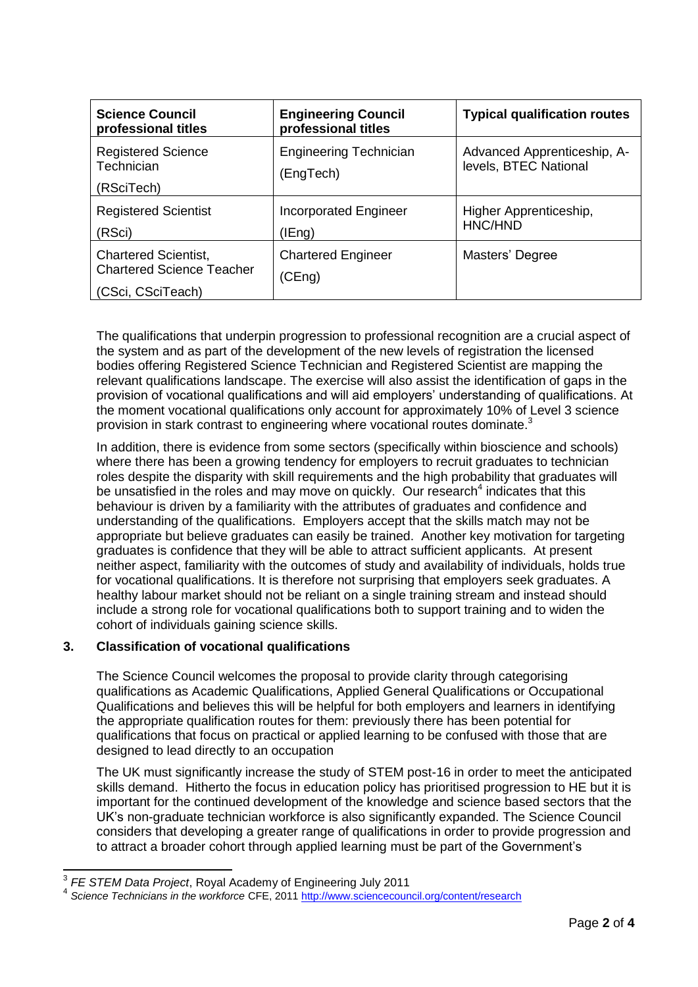| <b>Science Council</b><br>professional titles                                        | <b>Engineering Council</b><br>professional titles | <b>Typical qualification routes</b>                  |
|--------------------------------------------------------------------------------------|---------------------------------------------------|------------------------------------------------------|
| <b>Registered Science</b><br>Technician<br>(RSciTech)                                | <b>Engineering Technician</b><br>(EngTech)        | Advanced Apprenticeship, A-<br>levels, BTEC National |
| <b>Registered Scientist</b><br>(RSci)                                                | <b>Incorporated Engineer</b><br>(IEng)            | Higher Apprenticeship,<br>HNC/HND                    |
| <b>Chartered Scientist,</b><br><b>Chartered Science Teacher</b><br>(CSci, CSciTeach) | <b>Chartered Engineer</b><br>(CEng)               | Masters' Degree                                      |

The qualifications that underpin progression to professional recognition are a crucial aspect of the system and as part of the development of the new levels of registration the licensed bodies offering Registered Science Technician and Registered Scientist are mapping the relevant qualifications landscape. The exercise will also assist the identification of gaps in the provision of vocational qualifications and will aid employers' understanding of qualifications. At the moment vocational qualifications only account for approximately 10% of Level 3 science provision in stark contrast to engineering where vocational routes dominate.<sup>3</sup>

In addition, there is evidence from some sectors (specifically within bioscience and schools) where there has been a growing tendency for employers to recruit graduates to technician roles despite the disparity with skill requirements and the high probability that graduates will be unsatisfied in the roles and may move on quickly. Our research<sup>4</sup> indicates that this behaviour is driven by a familiarity with the attributes of graduates and confidence and understanding of the qualifications. Employers accept that the skills match may not be appropriate but believe graduates can easily be trained. Another key motivation for targeting graduates is confidence that they will be able to attract sufficient applicants. At present neither aspect, familiarity with the outcomes of study and availability of individuals, holds true for vocational qualifications. It is therefore not surprising that employers seek graduates. A healthy labour market should not be reliant on a single training stream and instead should include a strong role for vocational qualifications both to support training and to widen the cohort of individuals gaining science skills.

# **3. Classification of vocational qualifications**

The Science Council welcomes the proposal to provide clarity through categorising qualifications as Academic Qualifications, Applied General Qualifications or Occupational Qualifications and believes this will be helpful for both employers and learners in identifying the appropriate qualification routes for them: previously there has been potential for qualifications that focus on practical or applied learning to be confused with those that are designed to lead directly to an occupation

The UK must significantly increase the study of STEM post-16 in order to meet the anticipated skills demand. Hitherto the focus in education policy has prioritised progression to HE but it is important for the continued development of the knowledge and science based sectors that the UK's non-graduate technician workforce is also significantly expanded. The Science Council considers that developing a greater range of qualifications in order to provide progression and to attract a broader cohort through applied learning must be part of the Government's

 3 *FE STEM Data Project*, Royal Academy of Engineering July 2011

<sup>4</sup> *Science Technicians in the workforce* CFE, 2011<http://www.sciencecouncil.org/content/research>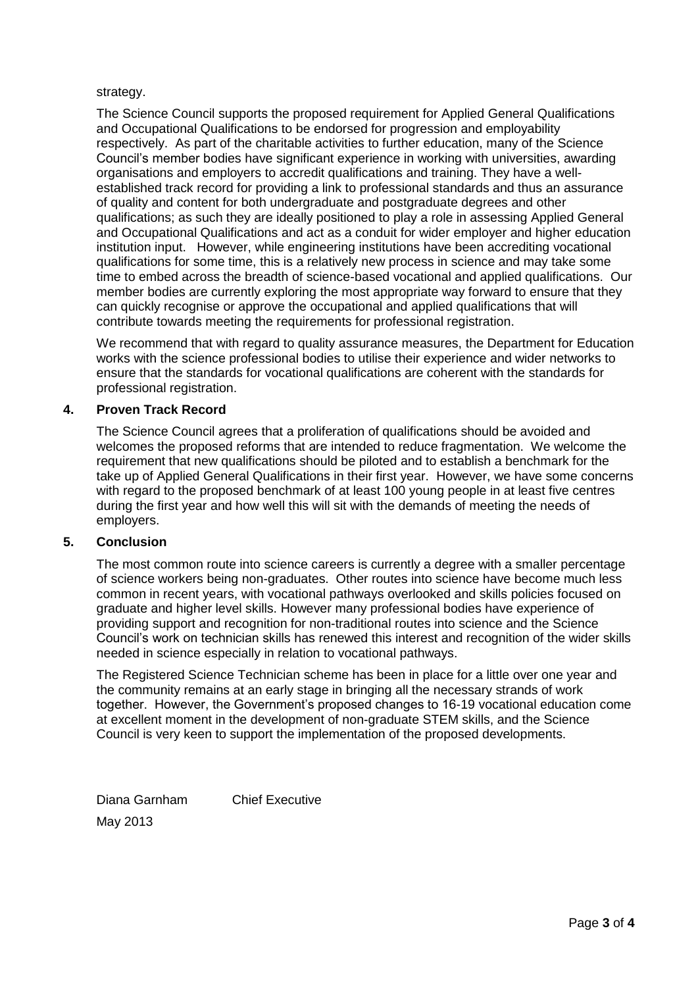### strategy.

The Science Council supports the proposed requirement for Applied General Qualifications and Occupational Qualifications to be endorsed for progression and employability respectively. As part of the charitable activities to further education, many of the Science Council's member bodies have significant experience in working with universities, awarding organisations and employers to accredit qualifications and training. They have a wellestablished track record for providing a link to professional standards and thus an assurance of quality and content for both undergraduate and postgraduate degrees and other qualifications; as such they are ideally positioned to play a role in assessing Applied General and Occupational Qualifications and act as a conduit for wider employer and higher education institution input. However, while engineering institutions have been accrediting vocational qualifications for some time, this is a relatively new process in science and may take some time to embed across the breadth of science-based vocational and applied qualifications. Our member bodies are currently exploring the most appropriate way forward to ensure that they can quickly recognise or approve the occupational and applied qualifications that will contribute towards meeting the requirements for professional registration.

We recommend that with regard to quality assurance measures, the Department for Education works with the science professional bodies to utilise their experience and wider networks to ensure that the standards for vocational qualifications are coherent with the standards for professional registration.

## **4. Proven Track Record**

The Science Council agrees that a proliferation of qualifications should be avoided and welcomes the proposed reforms that are intended to reduce fragmentation. We welcome the requirement that new qualifications should be piloted and to establish a benchmark for the take up of Applied General Qualifications in their first year. However, we have some concerns with regard to the proposed benchmark of at least 100 young people in at least five centres during the first year and how well this will sit with the demands of meeting the needs of employers.

#### **5. Conclusion**

The most common route into science careers is currently a degree with a smaller percentage of science workers being non-graduates. Other routes into science have become much less common in recent years, with vocational pathways overlooked and skills policies focused on graduate and higher level skills. However many professional bodies have experience of providing support and recognition for non-traditional routes into science and the Science Council's work on technician skills has renewed this interest and recognition of the wider skills needed in science especially in relation to vocational pathways.

The Registered Science Technician scheme has been in place for a little over one year and the community remains at an early stage in bringing all the necessary strands of work together. However, the Government's proposed changes to 16-19 vocational education come at excellent moment in the development of non-graduate STEM skills, and the Science Council is very keen to support the implementation of the proposed developments.

Diana Garnham Chief Executive May 2013